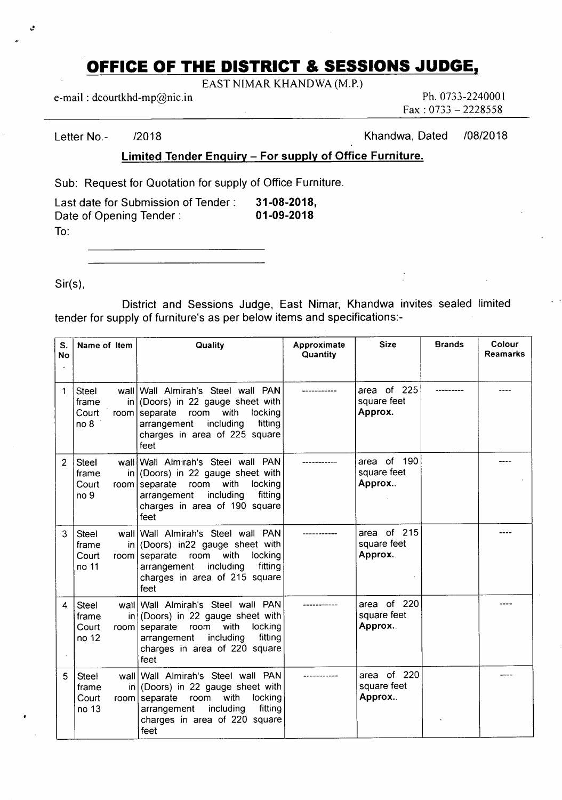## **OFFICE OF THE DISTRICT & SESSIONS JUDGE,**

EAST NIMAR KHANDWA (M.P.)

e-mail : dcourtkhd-mp@nic.in Ph. 0733-2240001

Fax : 0733 — 2228558

Letter No.- 2018 2018 2018 2018

**Limited Tender Enquiry — For supply of Office Furniture.** 

Sub: Request for Quotation for supply of Office Furniture.

| Last date for Submission of Tender: | 31-08-2018, |
|-------------------------------------|-------------|
| Date of Opening Tender:             | 01-09-2018  |
| To:                                 |             |

Sir(s),

Ŀ

District and Sessions Judge, East Nimar, Khandwa invites sealed limited tender for supply of furniture's as per below items and specifications:-

| S.<br><b>No</b> | Name of Item                                       | Quality                                                                                                                                                                                                                     | Approximate<br>Quantity | <b>Size</b>                           | <b>Brands</b> | Colour<br><b>Reamarks</b> |
|-----------------|----------------------------------------------------|-----------------------------------------------------------------------------------------------------------------------------------------------------------------------------------------------------------------------------|-------------------------|---------------------------------------|---------------|---------------------------|
| 1               | <b>Steel</b><br>frame<br>Court<br>no <sub>8</sub>  | wall Wall Almirah's Steel wall PAN<br>$in   (Doors)$ in 22 gauge sheet with<br>room<br>with<br>locking<br>$room$ separate<br>including<br>fitting<br>arrangement<br>charges in area of 225 square<br>feet                   |                         | area of 225<br>square feet<br>Approx. |               |                           |
| 2               | <b>Steel</b><br>frame<br>Court<br>no <sub>9</sub>  | wall Wall Almirah's Steel wall PAN<br>$\left  \text{or} \right $ (Doors) in 22 gauge sheet with<br>with<br>locking<br>room separate<br>room<br>including<br>fitting<br>arrangement<br>charges in area of 190 square<br>feet |                         | area of 190<br>square feet<br>Approx. |               |                           |
| 3               | Steel<br>frame<br>Court<br>no 11                   | wall Wall Almirah's Steel wall PAN<br>$in   (Doors)$ in 22 gauge sheet with<br>room separate<br>with<br>locking<br>room<br>including<br>fitting<br>arrangement<br>charges in area of 215 square<br>feet                     |                         | area of 215<br>square feet<br>Approx. |               |                           |
| 4               | <b>Steel</b><br>frame<br>Court<br>no 12            | wall Wall Almirah's Steel wall PAN<br>in (Doors) in 22 gauge sheet with<br>room separate<br>with<br>locking<br>room<br>fitting<br>including<br>arrangement<br>charges in area of 220 square<br>feet                         |                         | area of 220<br>square feet<br>Approx. |               |                           |
| 5               | Steel<br>frame<br>in l<br>Court<br>room  <br>no 13 | wall   Wall Almirah's Steel wall PAN<br>(Doors) in 22 gauge sheet with<br>with<br>locking<br>separate<br>room<br>including<br>fitting<br>arrangement<br>charges in area of 220 square<br>feet                               |                         | area of 220<br>square feet<br>Approx. |               |                           |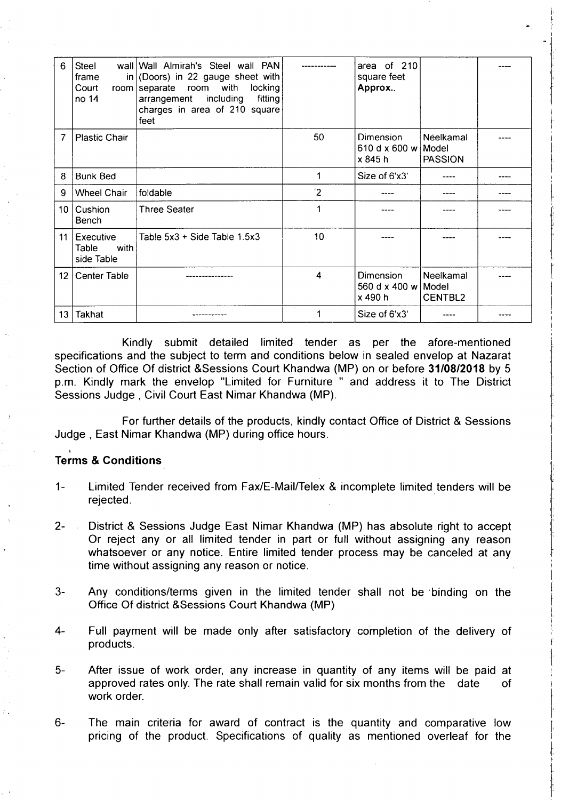| 6               | <b>Steel</b><br>frame<br>Court<br>no 14  | wall Wall Almirah's Steel wall PAN<br>in (Doors) in 22 gauge sheet with<br>locking<br>room separate room with<br>including<br>fitting<br>arrangement<br>charges in area of 210 square<br>feet |              | area of 210<br>square feet<br>Approx        |                             |  |
|-----------------|------------------------------------------|-----------------------------------------------------------------------------------------------------------------------------------------------------------------------------------------------|--------------|---------------------------------------------|-----------------------------|--|
| 7               | <b>Plastic Chair</b>                     |                                                                                                                                                                                               | 50           | Dimension<br>610 d x 600 w Model<br>x 845 h | Neelkamal<br><b>PASSION</b> |  |
| 8               | <b>Bunk Bed</b>                          |                                                                                                                                                                                               | 1            | Size of 6'x3'                               |                             |  |
| 9               | <b>Wheel Chair</b>                       | foldable                                                                                                                                                                                      | $\mathbf{2}$ |                                             |                             |  |
|                 | 10   Cushion<br><b>Bench</b>             | <b>Three Seater</b>                                                                                                                                                                           | 1            |                                             |                             |  |
| 11              | Executive<br>Table<br>with<br>side Table | Table $5x3 +$ Side Table $1.5x3$                                                                                                                                                              | 10           |                                             |                             |  |
| 12 <sup>1</sup> | <b>Center Table</b>                      |                                                                                                                                                                                               | 4            | Dimension<br>560 d x 400 w Model<br>x 490 h | Neelkamal<br>CENTBL2        |  |
| 13 <sup>°</sup> | Takhat                                   |                                                                                                                                                                                               |              | Size of 6'x3'                               |                             |  |

Kindly submit detailed limited tender as per the afore-mentioned specifications and the subject to term and conditions below in sealed envelop at Nazarat Section of Office Of district &Sessions Court Khandwa (MP) on or before **31/08/2018** by 5 p.m. Kindly mark the envelop "Limited for Furniture " and address it to The District Sessions Judge , Civil Court East Nimar Khandwa (MP).

For further details of the products, kindly contact Office of District & Sessions Judge , East Nimar Khandwa (MP) during office hours.

## **Terms & Conditions**

- Limited Tender received from Fax/E-MailfTelex & incomplete limited tenders will be  $1$ rejected.
- $2 -$ District & Sessions Judge East Nimar Khandwa (MP) has absolute right to accept Or reject any or all limited tender in part or full without assigning any reason whatsoever or any notice. Entire limited tender process may be canceled at any time without assigning any reason or notice.
- $3-$ Any conditions/terms given in the limited tender shall not be 'binding on the Office Of district &Sessions Court Khandwa (MP)
- $4-$ Full payment will be made only after satisfactory completion of the delivery of products.
- After issue of work order, any increase in quantity of any items will be paid at  $5$ approved rates only. The rate shall remain valid for six months from the date of work order.
- The main criteria for award of contract is the quantity and comparative low  $6$ pricing of the product. Specifications of quality as mentioned overleaf for the